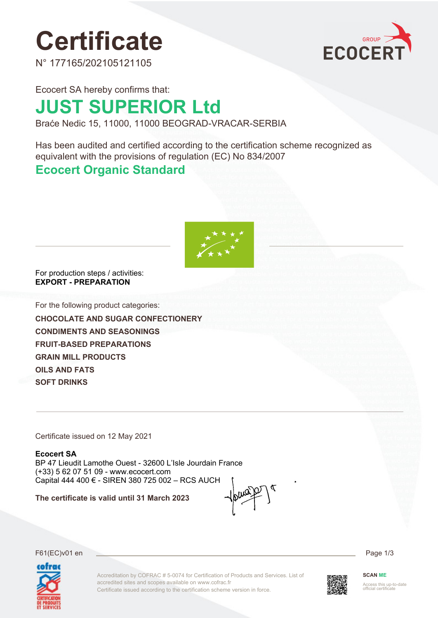# **Certificate**

N° 177165/202105121105



Ecocert SA hereby confirms that:

## **JUST SUPERIOR Ltd**

Braće Nedic 15, 11000, 11000 BEOGRAD-VRACAR-SERBIA

Has been audited and certified according to the certification scheme recognized as equivalent with the provisions of regulation (EC) No 834/2007

### **Ecocert Organic Standard**



For production steps / activities: **EXPORT - PREPARATION**

For the following product categories:

**CHOCOLATE AND SUGAR CONFECTIONERY CONDIMENTS AND SEASONINGS FRUIT-BASED PREPARATIONS GRAIN MILL PRODUCTS OILS AND FATS SOFT DRINKS**

Certificate issued on 12 May 2021

**Ecocert SA** BP 47 Lieudit Lamothe Ouest - 32600 L'Isle Jourdain France (+33) 5 62 07 51 09 - www.ecocert.com Capital 444 400 € - SIREN 380 725 002 – RCS AUCH

**The certificate is valid until 31 March 2023**

F61(EC)v01 en Page 1/3



Accreditation by COFRAC # 5-0074 for Certification of Products and Services. List of accredited sites and scopes available on www.cofrac.fr Certificate issued according to the certification scheme version in force.



**SCAN ME**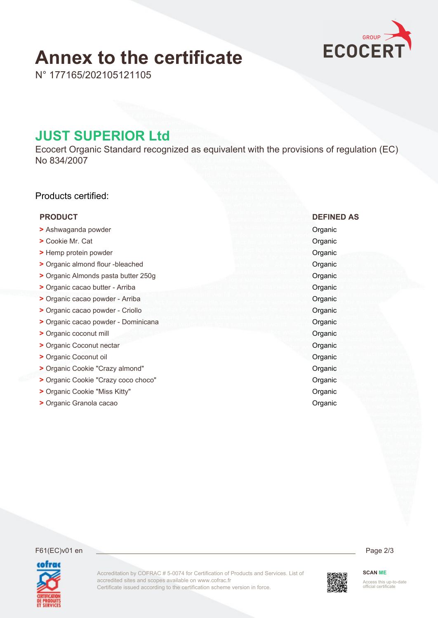## **Annex to the certificate**



N° 177165/202105121105

### **JUST SUPERIOR Ltd**

Ecocert Organic Standard recognized as equivalent with the provisions of regulation (EC) No 834/2007

### Products certified:

### **PRODUCT DEFINED AS**

- **>** Ashwaganda powder Organic
- **•• Property Cookie Mr. Cat Organic Cookie Mr. Cat Organic**
- **•• The Summer protein powder Critical Summer of the Summer Critical Summer Critical Summer Critical Summer Critical Summer Critical Summer Critical Summer Critical Summer Critical Summer Critical Summer Critical Summer Cr**
- **>** Organic almond flour -bleached **Organic** Organic almond of  $\alpha$
- **>** Organic Almonds pasta butter 250g **Organic Almonds pasta butter 250g**
- **• Properties Organic cacao butter Arriba <b>Organic Community** Organic Community Organic Community Organic
- **>** Organic cacao powder Arriba **Organic** Organic Communication of the Organic Communication of the Organic
- **>** Organic cacao powder Criollo **Organic Cacao powder Criollo Organic Cacao powder Criollo Organic Cacao powder Criollo Organic Cacao powder Criollo Organic Cacao powder Criollo Organic Cacao powder Crioll**
- **•** Organic cacao powder Dominicana **Organic** Organic
- **Properties Accept and Construction Construction Construction Construction Construction Construction Construction Construction Construction Construction Construction Construction Construction Construction Construction Co**
- **•• Properties Coconut nectar Construction Construction Construction Construction Construction Construction Construction Construction Construction Construction Construction Construction Construction Construction Constructi**
- **•• Properties Coconut oil Contract of Contract of Contract of Contract of Contract of Contract of Contract of Contract of Contract of Contract of Contract of Contract of Contract of Contract of Contract of Contract of Con**
- **>** Organic Cookie "Crazy almond" **Organic** Organic Organic
- **>** Organic Cookie "Crazy coco choco" **Organic** Organic Cookie **Organic**
- **>** Organic Cookie "Miss Kitty" **Organic** Organic Cookie "Miss Kitty"
- **>** Organic Granola cacao **Organic Critical cacao Organic Organic Organic Organic**

### F61(EC)v01 en Page 2/3



Accreditation by COFRAC # 5-0074 for Certification of Products and Services. List of accredited sites and scopes available on www.cofrac.fr Certificate issued according to the certification scheme version in force.